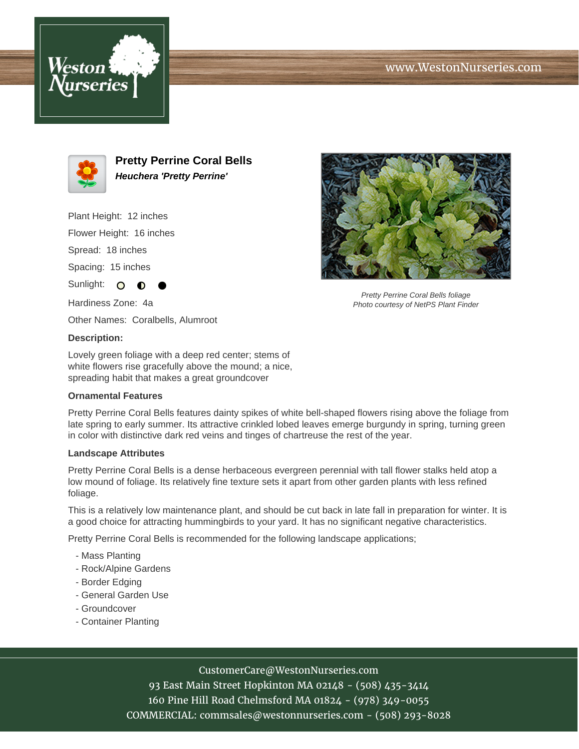





**Pretty Perrine Coral Bells Heuchera 'Pretty Perrine'**

Plant Height: 12 inches

Flower Height: 16 inches

Spread: 18 inches

Spacing: 15 inches

Sunlight: O

Hardiness Zone: 4a

Other Names: Coralbells, Alumroot

## **Description:**

Lovely green foliage with a deep red center; stems of white flowers rise gracefully above the mound; a nice, spreading habit that makes a great groundcover

## **Ornamental Features**

Pretty Perrine Coral Bells features dainty spikes of white bell-shaped flowers rising above the foliage from late spring to early summer. Its attractive crinkled lobed leaves emerge burgundy in spring, turning green in color with distinctive dark red veins and tinges of chartreuse the rest of the year.

## **Landscape Attributes**

Pretty Perrine Coral Bells is a dense herbaceous evergreen perennial with tall flower stalks held atop a low mound of foliage. Its relatively fine texture sets it apart from other garden plants with less refined foliage.

This is a relatively low maintenance plant, and should be cut back in late fall in preparation for winter. It is a good choice for attracting hummingbirds to your yard. It has no significant negative characteristics.

Pretty Perrine Coral Bells is recommended for the following landscape applications;

- Mass Planting
- Rock/Alpine Gardens
- Border Edging
- General Garden Use
- Groundcover
- Container Planting



93 East Main Street Hopkinton MA 02148 - (508) 435-3414 160 Pine Hill Road Chelmsford MA 01824 - (978) 349-0055 COMMERCIAL: commsales@westonnurseries.com - (508) 293-8028



Pretty Perrine Coral Bells foliage Photo courtesy of NetPS Plant Finder